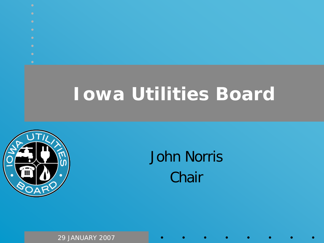- 
- 
- 
- 
- 
- 
- 
- 

# **Iowa Utilities Board**



#### John Norris **Chair**

29 JANUARY 2007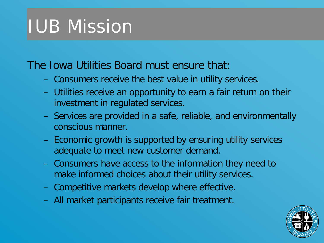# IUB Mission

#### The Iowa Utilities Board must ensure that:

- Consumers receive the best value in utility services.
- Utilities receive an opportunity to earn a fair return on their investment in regulated services.
- Services are provided in a safe, reliable, and environmentally conscious manner.
- Economic growth is supported by ensuring utility services adequate to meet new customer demand.
- Consumers have access to the information they need to make informed choices about their utility services.
- Competitive markets develop where effective.
- All market participants receive fair treatment.

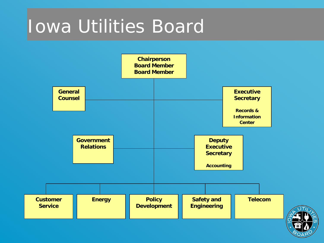### Iowa Utilities Board



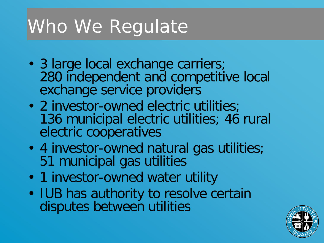# Who We Regulate

- 3 large local exchange carriers; 280 independent and competitive local exchange service providers
- 2 investor-owned electric utilities; 136 municipal electric utilities; 46 rural electric cooperatives
- 4 investor-owned natural gas utilities; 51 municipal gas utilities
- 1 investor-owned water utility
- IUB has authority to resolve certain disputes between utilities

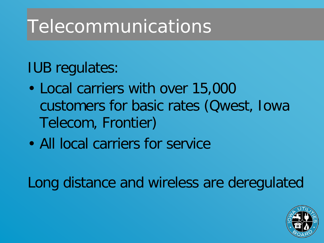# Telecommunications

IUB regulates:

- Local carriers with over 15,000 customers for basic rates (Qwest, Iowa Telecom, Frontier)
- All local carriers for service

Long distance and wireless are deregulated

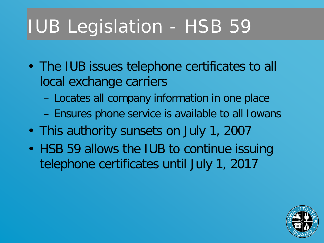# IUB Legislation - HSB 59

- The IUB issues telephone certificates to all local exchange carriers
	- Locates all company information in one place
	- Ensures phone service is available to all Iowans
- This authority sunsets on July 1, 2007
- HSB 59 allows the IUB to continue issuing telephone certificates until July 1, 2017

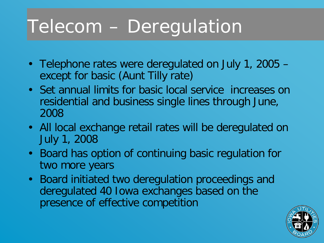# Telecom – Deregulation

- Telephone rates were deregulated on July 1, 2005 except for basic (Aunt Tilly rate)
- Set annual limits for basic local service increases on residential and business single lines through June, 2008
- All local exchange retail rates will be deregulated on July 1, 2008
- Board has option of continuing basic regulation for two more years
- Board initiated two deregulation proceedings and deregulated 40 Iowa exchanges based on the presence of effective competition

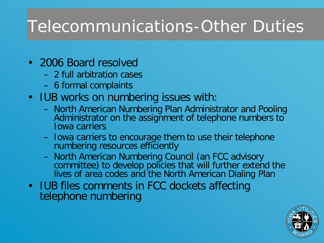#### Telecommunications-Other Duties

- 2006 Board resolved
	- 2 full arbitration cases
	- 6 formal complaints
- IUB works on numbering issues with:
	- North American Numbering Plan Administrator and Pooling Administrator on the assignment of telephone numbers to Iowa carriers
	- Iowa carriers to encourage them to use their telephone numbering resources efficiently
	- North American Numbering Council (an FCC advisory committee) to develop policies that will further extend the lives of area codes and the North American Dialing Plan
- IUB files comments in FCC dockets affecting telephone numbering

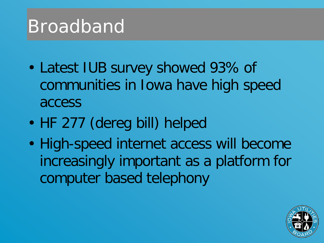### Broadband

- Latest IUB survey showed 93% of communities in Iowa have high speed access
- HF 277 (dereg bill) helped
- High-speed internet access will become increasingly important as a platform for computer based telephony

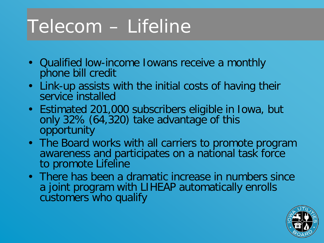# Telecom – Lifeline

- Qualified low-income Iowans receive a monthly phone bill credit
- Link-up assists with the initial costs of having their service installed
- Estimated 201,000 subscribers eligible in Iowa, but only 32% (64,320) take advantage of this opportunity
- The Board works with all carriers to promote program awareness and participates on a national task force to promote Lifeline
- There has been a dramatic increase in numbers since a joint program with LIHEAP automatically enrolls customers who qualify

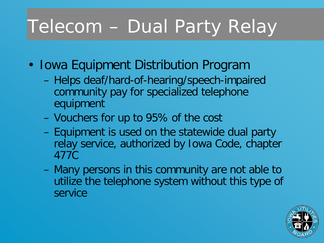# Telecom – Dual Party Relay

- Iowa Equipment Distribution Program
	- Helps deaf/hard-of-hearing/speech-impaired community pay for specialized telephone equipment
	- Vouchers for up to 95% of the cost
	- Equipment is used on the statewide dual party relay service, authorized by Iowa Code, chapter 477C
	- Many persons in this community are not able to utilize the telephone system without this type of service

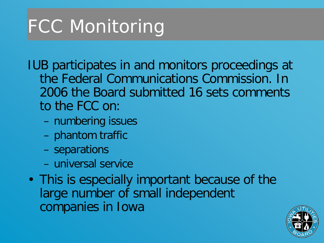# FCC Monitoring

IUB participates in and monitors proceedings at the Federal Communications Commission. In 2006 the Board submitted 16 sets comments to the FCC on:

- numbering issues
- phantom traffic
- separations
- universal service
- This is especially important because of the large number of small independent companies in Iowa

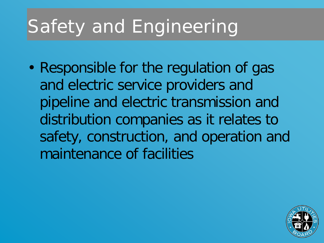# Safety and Engineering

• Responsible for the regulation of gas and electric service providers and pipeline and electric transmission and distribution companies as it relates to safety, construction, and operation and maintenance of facilities

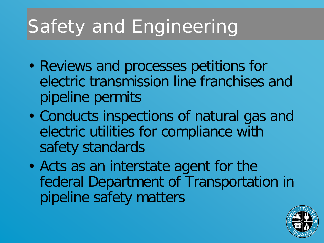# Safety and Engineering

- Reviews and processes petitions for electric transmission line franchises and pipeline permits
- Conducts inspections of natural gas and electric utilities for compliance with safety standards
- Acts as an interstate agent for the federal Department of Transportation in pipeline safety matters

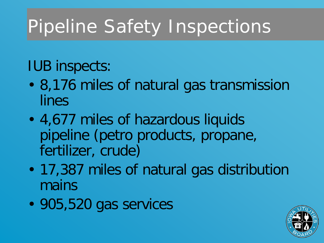# Pipeline Safety Inspections

IUB inspects:

- 8,176 miles of natural gas transmission lines
- 4,677 miles of hazardous liquids pipeline (petro products, propane, fertilizer, crude)
- 17,387 miles of natural gas distribution mains
- 905,520 gas services

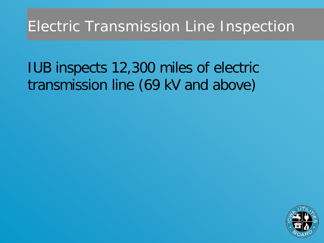#### Electric Transmission Line Inspection

#### IUB inspects 12,300 miles of electric transmission line (69 kV and above)

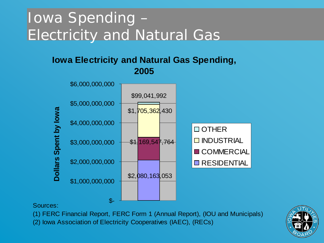#### Iowa Spending – Electricity and Natural Gas

#### **Iowa Electricity and Natural Gas Spending, 2005**



Sources:

- (1) FERC Financial Report, FERC Form 1 (Annual Report), (IOU and Municipals)
- (2) Iowa Association of Electricity Cooperatives (IAEC), (RECs)

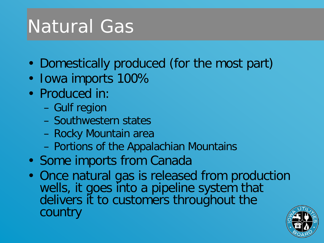# Natural Gas

- Domestically produced (for the most part)
- Iowa imports 100%
- Produced in:
	- Gulf region
	- Southwestern states
	- Rocky Mountain area
	- Portions of the Appalachian Mountains
- Some imports from Canada
- Once natural gas is released from production wells, it goes into a pipeline system that delivers it to customers throughout the country

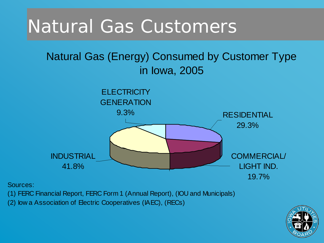### Natural Gas Customers

#### Natural Gas (Energy) Consumed by Customer Type in Iowa, 2005



Sources:

(1) FERC Financial Report, FERC Form 1 (Annual Report), (IOU and Municipals)

(2) Iow a Association of Electric Cooperatives (IAEC), (RECs)

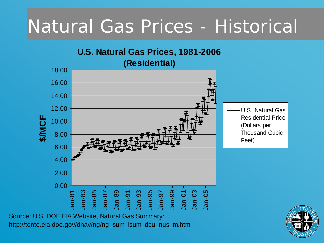## Natural Gas Prices - Historical



Source: U.S. DOE EIA Website, Natural Gas Summary: http://tonto.eia.doe.gov/dnav/ng/ng\_sum\_lsum\_dcu\_nus\_m.htm

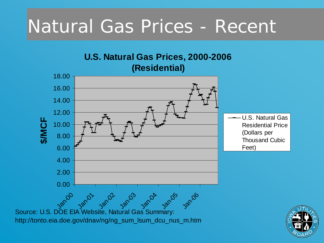## Natural Gas Prices - Recent

#### **U.S. Natural Gas Prices, 2000-2006 (Residential)**



Source: U.S. DOE EIA Website, Natural Gas Summary: http://tonto.eia.doe.gov/dnav/ng/ng\_sum\_lsum\_dcu\_nus\_m.htm

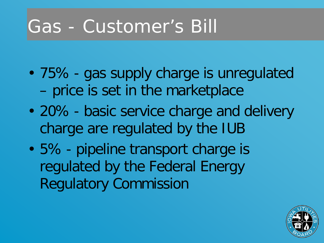### Gas - Customer's Bill

- 75% gas supply charge is unregulated – price is set in the marketplace
- 20% basic service charge and delivery charge are regulated by the IUB
- 5% pipeline transport charge is regulated by the Federal Energy Regulatory Commission

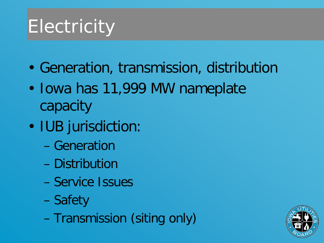## **Electricity**

- Generation, transmission, distribution
- Iowa has 11,999 MW nameplate capacity
- IUB jurisdiction:
	- Generation
	- Distribution
	- Service Issues
	- Safety
	- Transmission (siting only)

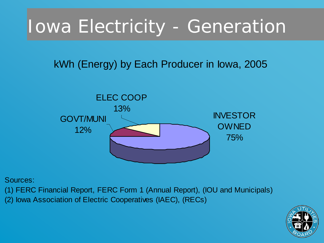## Iowa Electricity - Generation

#### kWh (Energy) by Each Producer in Iowa, 2005



Sources:

(1) FERC Financial Report, FERC Form 1 (Annual Report), (IOU and Municipals)

(2) Iowa Association of Electric Cooperatives (IAEC), (RECs)

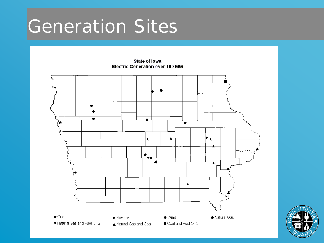### Generation Sites

 $\bullet$ ٠ a. ٠ ٠  $\star$  $\star$  $|\cdot_{\mathbf{v}_{\mathbf{v}}}|$ ∓₹  $\star$  $\star$  Coal · Natural Gas  $\blacklozenge$  Nuclear  $\bullet$  Wind ▼ Natural Gas and Fuel Oil 2 Coal and Fuel Oil 2 ▲ Natural Gas and Coal

**State of lowa Electric Generation over 100 MW** 

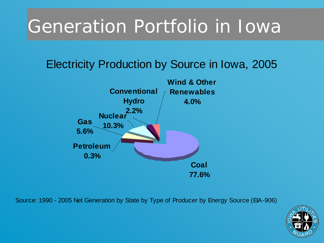# Generation Portfolio in Iowa

#### Electricity Production by Source in Iowa, 2005



Source: 1990 - 2005 Net Generation by State by Type of Producer by Energy Source (EIA-906)

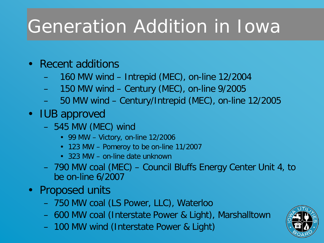# Generation Addition in Iowa

- Recent additions
	- 160 MW wind Intrepid (MEC), on-line 12/2004
	- 150 MW wind Century (MEC), on-line 9/2005
	- 50 MW wind Century/Intrepid (MEC), on-line 12/2005
- IUB approved
	- 545 MW (MEC) wind
		- 99 MW Victory, on-line 12/2006
		- 123 MW Pomeroy to be on-line 11/2007
		- 323 MW on-line date unknown
	- 790 MW coal (MEC) Council Bluffs Energy Center Unit 4, to be on-line 6/2007
- Proposed units
	- 750 MW coal (LS Power, LLC), Waterloo
	- 600 MW coal (Interstate Power & Light), Marshalltown
	- 100 MW wind (Interstate Power & Light)

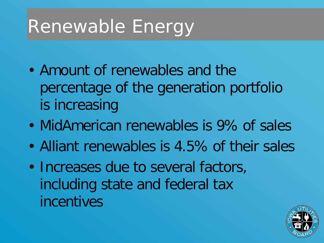# Renewable Energy

- Amount of renewables and the percentage of the generation portfolio is increasing
- MidAmerican renewables is 9% of sales
- Alliant renewables is 4.5% of their sales
- Increases due to several factors, including state and federal tax incentives

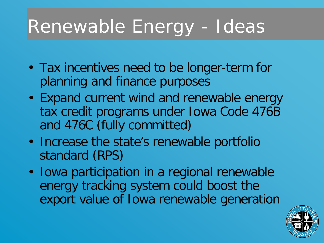# Renewable Energy - Ideas

- Tax incentives need to be longer-term for planning and finance purposes
- Expand current wind and renewable energy tax credit programs under Iowa Code 476B and 476C (fully committed)
- Increase the state's renewable portfolio standard (RPS)
- Iowa participation in a regional renewable energy tracking system could boost the export value of Iowa renewable generation

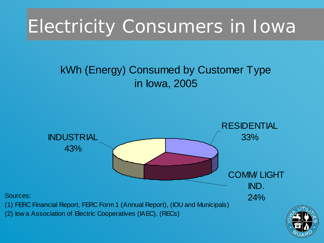## Electricity Consumers in Iowa

#### kWh (Energy) Consumed by Customer Type in Iowa, 2005



Sources:

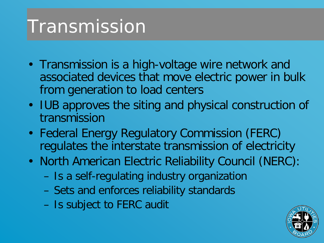## Transmission

- Transmission is a high-voltage wire network and associated devices that move electric power in bulk from generation to load centers
- IUB approves the siting and physical construction of transmission
- Federal Energy Regulatory Commission (FERC) regulates the interstate transmission of electricity
- North American Electric Reliability Council (NERC):
	- Is a self-regulating industry organization
	- Sets and enforces reliability standards
	- Is subject to FERC audit

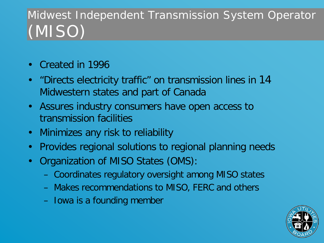#### Midwest Independent Transmission System Operator (MISO)

- Created in 1996
- "Directs electricity traffic" on transmission lines in 14 Midwestern states and part of Canada
- Assures industry consumers have open access to transmission facilities
- Minimizes any risk to reliability
- Provides regional solutions to regional planning needs
- Organization of MISO States (OMS):
	- Coordinates regulatory oversight among MISO states
	- Makes recommendations to MISO, FERC and others
	- Iowa is a founding member

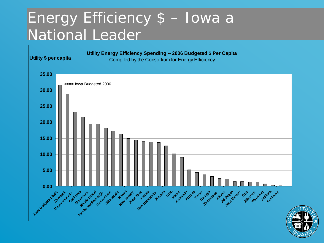#### Energy Efficiency \$ – Iowa a National Leader



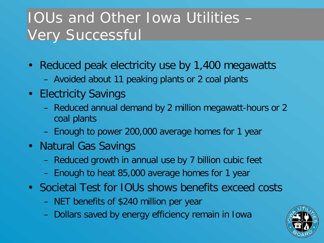#### IOUs and Other Iowa Utilities – Very Successful

- Reduced peak electricity use by 1,400 megawatts
	- Avoided about 11 peaking plants or 2 coal plants
- Electricity Savings
	- Reduced annual demand by 2 million megawatt-hours or 2 coal plants
	- Enough to power 200,000 average homes for 1 year
- Natural Gas Savings
	- Reduced growth in annual use by 7 billion cubic feet
	- Enough to heat 85,000 average homes for 1 year
- Societal Test for IOUs shows benefits exceed costs
	- NET benefits of \$240 million per year
	- Dollars saved by energy efficiency remain in Iowa

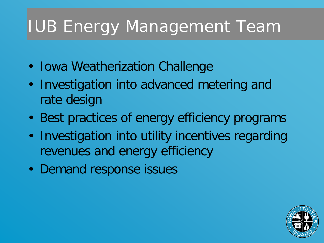### IUB Energy Management Team

- Iowa Weatherization Challenge
- Investigation into advanced metering and rate design
- Best practices of energy efficiency programs
- Investigation into utility incentives regarding revenues and energy efficiency
- Demand response issues

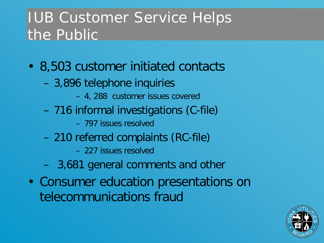#### IUB Customer Service Helps the Public

- 8,503 customer initiated contacts
	- 3,896 telephone inquiries
		- 4, 288 customer issues covered
	- 716 informal investigations (C-file)
		- 797 issues resolved
	- 210 referred complaints (RC-file)
		- 227 issues resolved
	- 3,681 general comments and other
- Consumer education presentations on telecommunications fraud

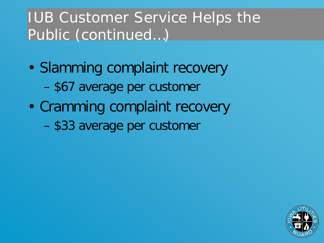#### IUB Customer Service Helps the Public (continued…)

- Slamming complaint recovery – \$67 average per customer
- Cramming complaint recovery

– \$33 average per customer

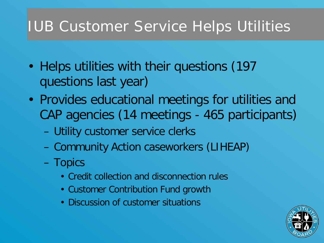#### IUB Customer Service Helps Utilities

- Helps utilities with their questions (197 questions last year)
- Provides educational meetings for utilities and CAP agencies (14 meetings - 465 participants)
	- Utility customer service clerks
	- Community Action caseworkers (LIHEAP)
	- Topics
		- Credit collection and disconnection rules
		- Customer Contribution Fund growth
		- Discussion of customer situations

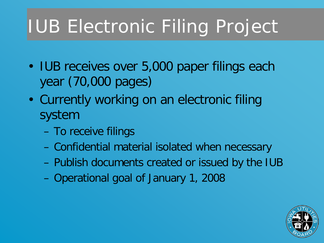# IUB Electronic Filing Project

- IUB receives over 5,000 paper filings each year (70,000 pages)
- Currently working on an electronic filing system
	- To receive filings
	- Confidential material isolated when necessary
	- Publish documents created or issued by the IUB
	- Operational goal of January 1, 2008

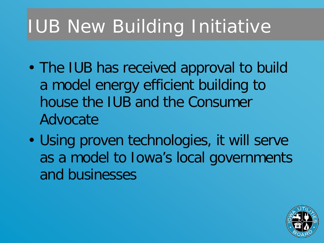# IUB New Building Initiative

- The IUB has received approval to build a model energy efficient building to house the IUB and the Consumer Advocate
- Using proven technologies, it will serve as a model to Iowa's local governments and businesses

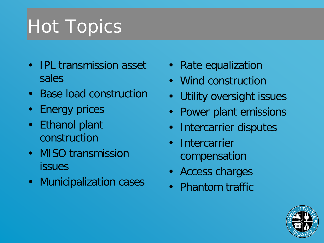# Hot Topics

- IPL transmission asset sales
- Base load construction
- Energy prices
- Ethanol plant construction
- MISO transmission issues
- Municipalization cases
- Rate equalization
- Wind construction
- Utility oversight issues
- Power plant emissions
- Intercarrier disputes
- Intercarrier compensation
- Access charges
- Phantom traffic